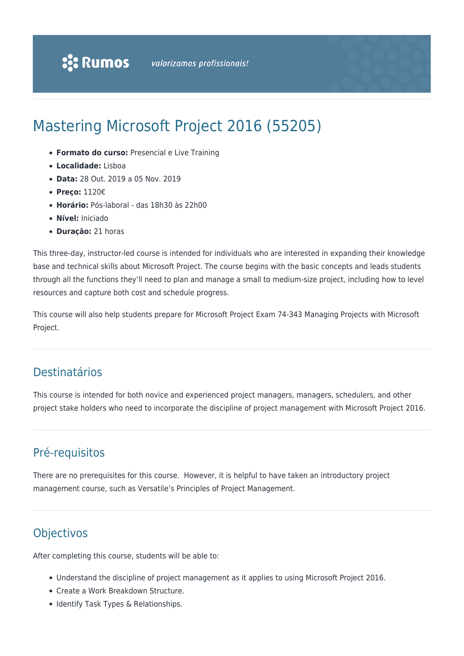# Mastering Microsoft Project 2016 (55205)

- **Formato do curso:** Presencial e Live Training
- **Localidade:** Lisboa
- **Data:** 28 Out. 2019 a 05 Nov. 2019
- **Preço:** 1120€
- **Horário:** Pós-laboral das 18h30 às 22h00
- **Nível:** Iniciado
- **Duração:** 21 horas

This three-day, instructor-led course is intended for individuals who are interested in expanding their knowledge base and technical skills about Microsoft Project. The course begins with the basic concepts and leads students through all the functions they'll need to plan and manage a small to medium-size project, including how to level resources and capture both cost and schedule progress.

This course will also help students prepare for Microsoft Project Exam 74-343 Managing Projects with Microsoft Project.

# Destinatários

This course is intended for both novice and experienced project managers, managers, schedulers, and other project stake holders who need to incorporate the discipline of project management with Microsoft Project 2016.

# Pré-requisitos

There are no prerequisites for this course. However, it is helpful to have taken an introductory project management course, such as Versatile's Principles of Project Management.

# **Objectivos**

After completing this course, students will be able to:

- Understand the discipline of project management as it applies to using Microsoft Project 2016.
- Create a Work Breakdown Structure.
- Identify Task Types & Relationships.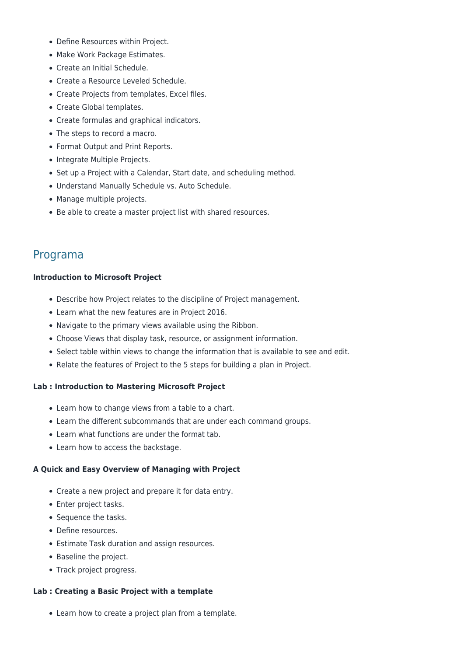- Define Resources within Project.
- Make Work Package Estimates.
- Create an Initial Schedule.
- Create a Resource Leveled Schedule.
- Create Projects from templates, Excel files.
- Create Global templates.
- Create formulas and graphical indicators.
- The steps to record a macro.
- Format Output and Print Reports.
- Integrate Multiple Projects.
- Set up a Project with a Calendar, Start date, and scheduling method.
- Understand Manually Schedule vs. Auto Schedule.
- Manage multiple projects.
- Be able to create a master project list with shared resources.

# Programa

# **Introduction to Microsoft Project**

- Describe how Project relates to the discipline of Project management.
- Learn what the new features are in Project 2016.
- Navigate to the primary views available using the Ribbon.
- Choose Views that display task, resource, or assignment information.
- Select table within views to change the information that is available to see and edit.
- Relate the features of Project to the 5 steps for building a plan in Project.

# **Lab : Introduction to Mastering Microsoft Project**

- Learn how to change views from a table to a chart.
- Learn the different subcommands that are under each command groups.
- Learn what functions are under the format tab.
- Learn how to access the backstage.

# **A Quick and Easy Overview of Managing with Project**

- Create a new project and prepare it for data entry.
- Enter project tasks.
- Sequence the tasks.
- Define resources.
- Estimate Task duration and assign resources.
- Baseline the project.
- Track project progress.

# **Lab : Creating a Basic Project with a template**

Learn how to create a project plan from a template.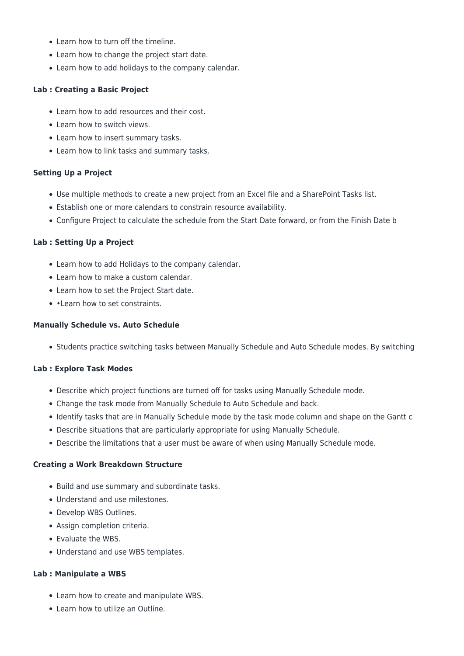- Learn how to turn off the timeline.
- Learn how to change the project start date.
- Learn how to add holidays to the company calendar.

### **Lab : Creating a Basic Project**

- Learn how to add resources and their cost.
- Learn how to switch views.
- Learn how to insert summary tasks.
- Learn how to link tasks and summary tasks.

#### **Setting Up a Project**

- Use multiple methods to create a new project from an Excel file and a SharePoint Tasks list.
- Establish one or more calendars to constrain resource availability.
- Configure Project to calculate the schedule from the Start Date forward, or from the Finish Date b

#### **Lab : Setting Up a Project**

- Learn how to add Holidays to the company calendar.
- Learn how to make a custom calendar.
- Learn how to set the Project Start date.
- • Learn how to set constraints.

#### **Manually Schedule vs. Auto Schedule**

• Students practice switching tasks between Manually Schedule and Auto Schedule modes. By switching

# **Lab : Explore Task Modes**

- Describe which project functions are turned off for tasks using Manually Schedule mode.
- Change the task mode from Manually Schedule to Auto Schedule and back.
- Identify tasks that are in Manually Schedule mode by the task mode column and shape on the Gantt c
- Describe situations that are particularly appropriate for using Manually Schedule.
- Describe the limitations that a user must be aware of when using Manually Schedule mode.

#### **Creating a Work Breakdown Structure**

- Build and use summary and subordinate tasks.
- Understand and use milestones.
- Develop WBS Outlines.
- Assign completion criteria.
- Evaluate the WBS.
- Understand and use WBS templates.

#### **Lab : Manipulate a WBS**

- Learn how to create and manipulate WBS.
- Learn how to utilize an Outline.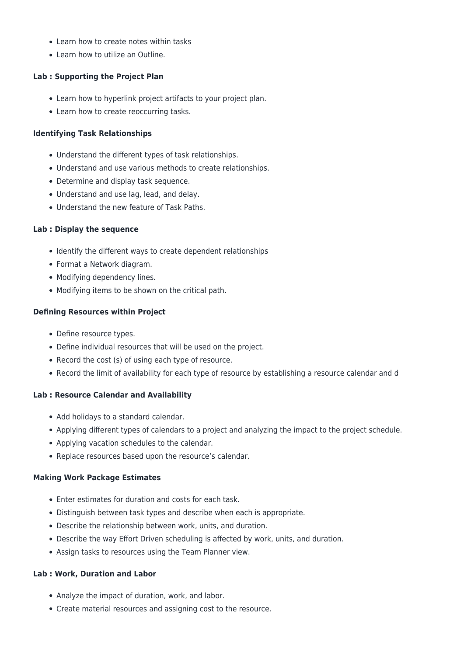- Learn how to create notes within tasks
- Learn how to utilize an Outline.

### **Lab : Supporting the Project Plan**

- Learn how to hyperlink project artifacts to your project plan.
- Learn how to create reoccurring tasks.

#### **Identifying Task Relationships**

- Understand the different types of task relationships.
- Understand and use various methods to create relationships.
- Determine and display task sequence.
- Understand and use lag, lead, and delay.
- Understand the new feature of Task Paths.

#### **Lab : Display the sequence**

- Identify the different ways to create dependent relationships
- Format a Network diagram.
- Modifying dependency lines.
- Modifying items to be shown on the critical path.

#### **Defining Resources within Project**

- Define resource types.
- Define individual resources that will be used on the project.
- Record the cost (s) of using each type of resource.
- Record the limit of availability for each type of resource by establishing a resource calendar and d

#### **Lab : Resource Calendar and Availability**

- Add holidays to a standard calendar.
- Applying different types of calendars to a project and analyzing the impact to the project schedule.
- Applying vacation schedules to the calendar.
- Replace resources based upon the resource's calendar.

#### **Making Work Package Estimates**

- Enter estimates for duration and costs for each task.
- Distinguish between task types and describe when each is appropriate.
- Describe the relationship between work, units, and duration.
- Describe the way Effort Driven scheduling is affected by work, units, and duration.
- Assign tasks to resources using the Team Planner view.

#### **Lab : Work, Duration and Labor**

- Analyze the impact of duration, work, and labor.
- Create material resources and assigning cost to the resource.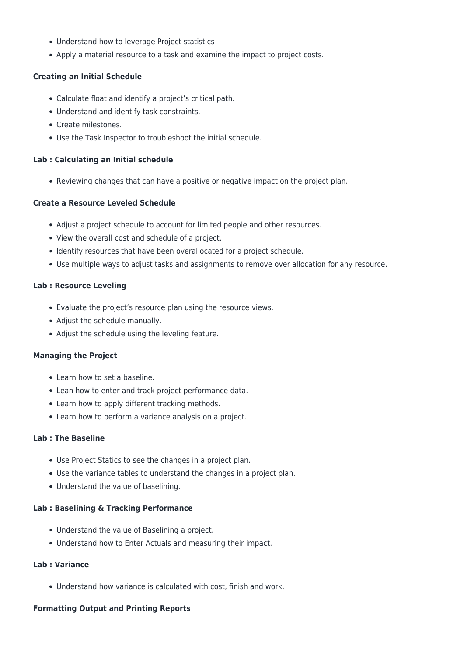- Understand how to leverage Project statistics
- Apply a material resource to a task and examine the impact to project costs.

#### **Creating an Initial Schedule**

- Calculate float and identify a project's critical path.
- Understand and identify task constraints.
- Create milestones.
- Use the Task Inspector to troubleshoot the initial schedule.

#### **Lab : Calculating an Initial schedule**

• Reviewing changes that can have a positive or negative impact on the project plan.

#### **Create a Resource Leveled Schedule**

- Adjust a project schedule to account for limited people and other resources.
- View the overall cost and schedule of a project.
- Identify resources that have been overallocated for a project schedule.
- Use multiple ways to adjust tasks and assignments to remove over allocation for any resource.

#### **Lab : Resource Leveling**

- Evaluate the project's resource plan using the resource views.
- Adjust the schedule manually.
- Adjust the schedule using the leveling feature.

#### **Managing the Project**

- Learn how to set a baseline.
- Lean how to enter and track project performance data.
- Learn how to apply different tracking methods.
- Learn how to perform a variance analysis on a project.

#### **Lab : The Baseline**

- Use Project Statics to see the changes in a project plan.
- Use the variance tables to understand the changes in a project plan.
- Understand the value of baselining.

#### **Lab : Baselining & Tracking Performance**

- Understand the value of Baselining a project.
- Understand how to Enter Actuals and measuring their impact.

#### **Lab : Variance**

Understand how variance is calculated with cost, finish and work.

#### **Formatting Output and Printing Reports**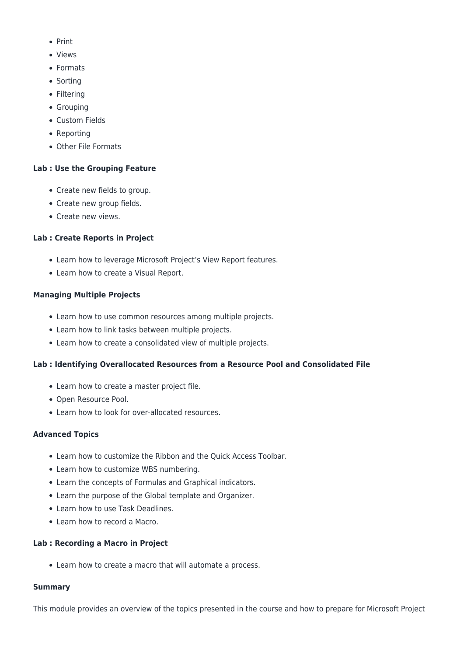- $\bullet$  Print
- Views
- Formats
- Sorting
- Filtering
- Grouping
- Custom Fields
- Reporting
- Other File Formats

# **Lab : Use the Grouping Feature**

- Create new fields to group.
- Create new group fields.
- Create new views.

# **Lab : Create Reports in Project**

- Learn how to leverage Microsoft Project's View Report features.
- Learn how to create a Visual Report.

# **Managing Multiple Projects**

- Learn how to use common resources among multiple projects.
- Learn how to link tasks between multiple projects.
- Learn how to create a consolidated view of multiple projects.

# **Lab : Identifying Overallocated Resources from a Resource Pool and Consolidated File**

- Learn how to create a master project file.
- Open Resource Pool.
- Learn how to look for over-allocated resources.

# **Advanced Topics**

- Learn how to customize the Ribbon and the Quick Access Toolbar.
- Learn how to customize WBS numbering.
- Learn the concepts of Formulas and Graphical indicators.
- Learn the purpose of the Global template and Organizer.
- Learn how to use Task Deadlines.
- Learn how to record a Macro.

# **Lab : Recording a Macro in Project**

Learn how to create a macro that will automate a process.

#### **Summary**

This module provides an overview of the topics presented in the course and how to prepare for Microsoft Project